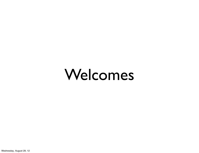#### Welcomes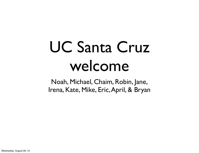#### UC Santa Cruz welcome

Noah, Michael, Chaim, Robin, Jane, Irena, Kate, Mike, Eric, April, & Bryan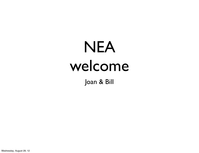#### NEA welcome

Joan & Bill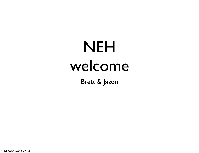#### NEH welcome

Brett & Jason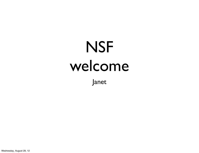## NSF welcome

Janet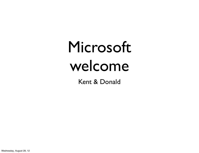#### Microsoft welcome

Kent & Donald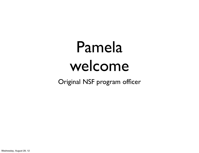#### Pamela welcome

Original NSF program officer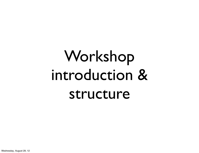## Workshop introduction & structure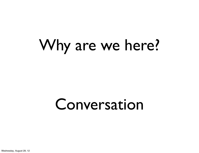#### Why are we here?

#### Conversation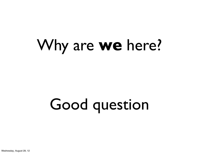#### Why are **we** here?

# Good question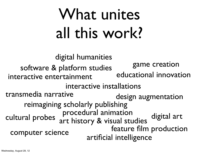## What unites all this work?

digital art computer science digital humanities artificial intelligence interactive entertainment game creation reimagining scholarly publishing interactive installations art history & visual studies software & platform studies<br>International innovation transmedia narrative<br>design augmentation cultural probes feature film production procedural animation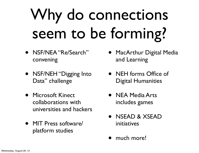## Why do connections seem to be forming?

- NSF/NEA "Re/Search" convening
- NSF/NEH "Digging Into Data" challenge
- Microsoft Kinect collaborations with universities and hackers
- MIT Press software/ platform studies
- MacArthur Digital Media and Learning
- NEH forms Office of Digital Humanities
- NEA Media Arts includes games
- NSEAD & XSEAD initiatives
- much more!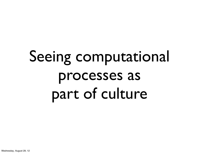## Seeing computational processes as part of culture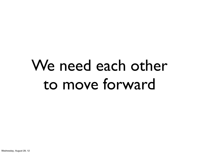#### We need each other to move forward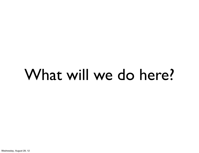#### What will we do here?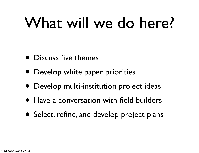### What will we do here?

- Discuss five themes
- Develop white paper priorities
- Develop multi-institution project ideas
- Have a conversation with field builders
- Select, refine, and develop project plans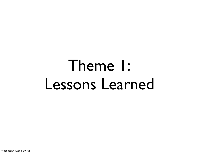#### Theme 1: Lessons Learned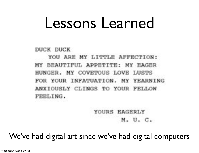DUCK DUCK

YOU ARE MY LITTLE AFFECTION: MY BEAUTIFUL APPETITE: MY EAGER HUNGER. MY COVETOUS LOVE LUSTS FOR YOUR INFATUATION. MY YEARNING ANXIOUSLY CLINGS TO YOUR FELLOW FEELING.

> YOURS EAGERLY M. U. C.

We've had digital art since we've had digital computers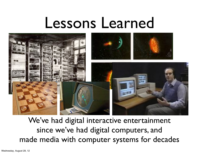

We've had digital interactive entertainment since we've had digital computers, and made media with computer systems for decades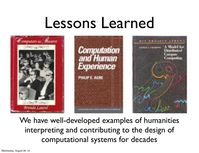

We have well-developed examples of humanities interpreting and contributing to the design of computational systems for decades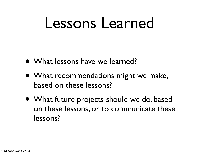- What lessons have we learned?
- What recommendations might we make, based on these lessons?
- What future projects should we do, based on these lessons, or to communicate these lessons?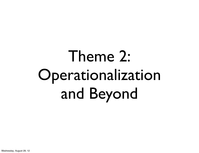# Theme 2: Operationalization and Beyond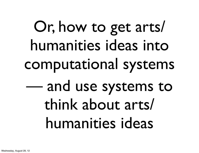# Or, how to get arts/ humanities ideas into computational systems — and use systems to think about arts/ humanities ideas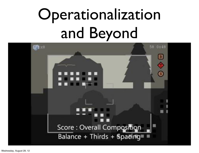## Operationalization and Beyond

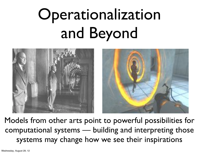## Operationalization and Beyond



Models from other arts point to powerful possibilities for computational systems — building and interpreting those systems may change how we see their inspirations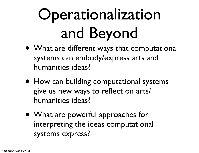## Operationalization and Beyond

- What are different ways that computational systems can embody/express arts and humanities ideas?
- How can building computational systems give us new ways to reflect on arts/ humanities ideas?
- What are powerful approaches for interpreting the ideas computational systems express?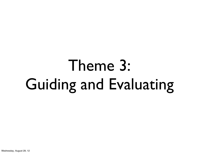## Theme 3: Guiding and Evaluating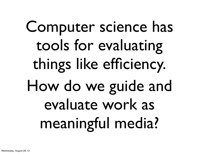# Computer science has tools for evaluating things like efficiency. How do we guide and evaluate work as meaningful media?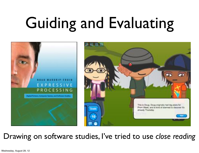# Guiding and Evaluating



#### Drawing on software studies, I've tried to use *close reading*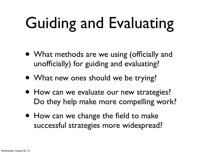# Guiding and Evaluating

- What methods are we using (officially and unofficially) for guiding and evaluating?
- What new ones should we be trying?
- How can we evaluate our new strategies? Do they help make more compelling work?
- How can we change the field to make successful strategies more widespread?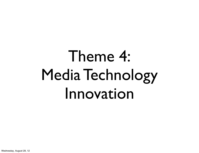## Theme 4: Media Technology Innovation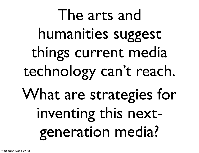The arts and humanities suggest things current media technology can't reach. What are strategies for inventing this nextgeneration media?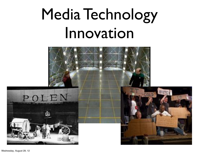### Media Technology Innovation

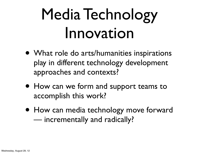## Media Technology Innovation

- What role do arts/humanities inspirations play in different technology development approaches and contexts?
- How can we form and support teams to accomplish this work?
- How can media technology move forward — incrementally and radically?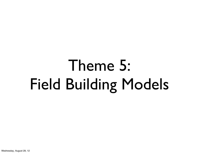## Theme 5: Field Building Models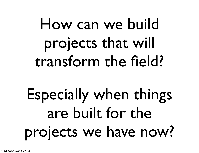## How can we build projects that will transform the field?

## Especially when things are built for the projects we have now?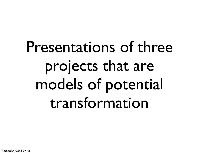## Presentations of three projects that are models of potential transformation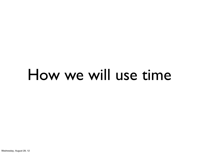#### How we will use time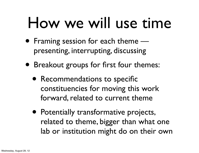#### How we will use time

- Framing session for each theme presenting, interrupting, discussing
- Breakout groups for first four themes:
	- Recommendations to specific constituencies for moving this work forward, related to current theme
	- Potentially transformative projects, related to theme, bigger than what one lab or institution might do on their own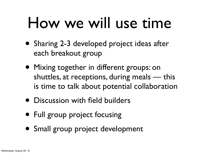#### How we will use time

- Sharing 2-3 developed project ideas after each breakout group
- Mixing together in different groups: on shuttles, at receptions, during meals — this is time to talk about potential collaboration
- Discussion with field builders
- Full group project focusing
- Small group project development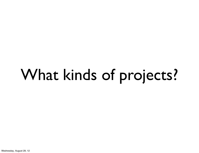# What kinds of projects?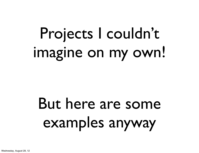## Projects I couldn't imagine on my own!

## But here are some examples anyway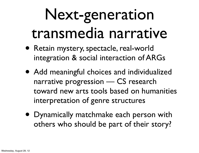### Next-generation transmedia narrative

- Retain mystery, spectacle, real-world integration & social interaction of ARGs
- Add meaningful choices and individualized narrative progression — CS research toward new arts tools based on humanities interpretation of genre structures
- Dynamically matchmake each person with others who should be part of their story?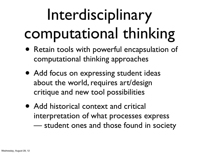# Interdisciplinary computational thinking

- Retain tools with powerful encapsulation of computational thinking approaches
- Add focus on expressing student ideas about the world, requires art/design critique and new tool possibilities
- Add historical context and critical interpretation of what processes express — student ones and those found in society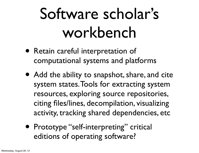## Software scholar's workbench

- Retain careful interpretation of computational systems and platforms
- Add the ability to snapshot, share, and cite system states. Tools for extracting system resources, exploring source repositories, citing files/lines, decompilation, visualizing activity, tracking shared dependencies, etc
- Prototype "self-interpreting" critical editions of operating software?